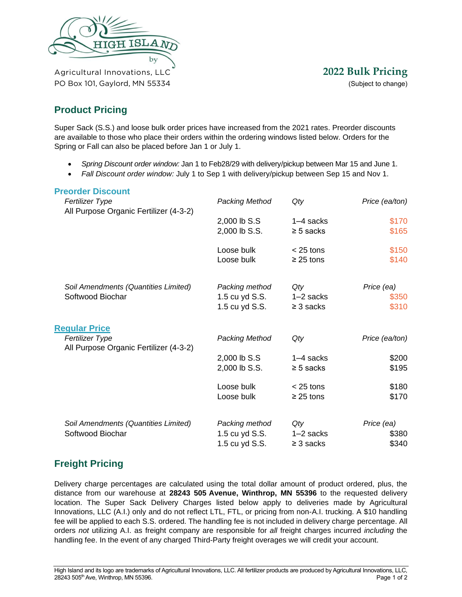

PO Box 101, Gaylord, MN 55334 (Subject to change)

# **Product Pricing**

Super Sack (S.S.) and loose bulk order prices have increased from the 2021 rates. Preorder discounts are available to those who place their orders within the ordering windows listed below. Orders for the Spring or Fall can also be placed before Jan 1 or July 1.

- *Spring Discount order window:* Jan 1 to Feb28/29 with delivery/pickup between Mar 15 and June 1.
- *Fall Discount order window:* July 1 to Sep 1 with delivery/pickup between Sep 15 and Nov 1.

# **Preorder Discount** *Fertilizer Type Packing Method Qty Price (ea/ton)* All Purpose Organic Fertilizer (4-3-2) 2,000 lb S.S 1–4 sacks \$170 2,000 lb S.S.  $≥ 5$  sacks \$165 Loose bulk  $\leq$  25 tons \$150 Loose bulk  $\geq 25$  tons \$140 *Soil Amendments (Quantities Limited) Packing method Qty Price (ea)* Softwood Biochar 1.5 cu yd S.S. 1–2 sacks \$350 1.5 cu yd S.S.  $≥ 3$  sacks \$310 **Regular Price** *Fertilizer Type Packing Method Qty Price (ea/ton)*  All Purpose Organic Fertilizer (4-3-2) 2,000 lb S.S 1–4 sacks \$200 2,000 lb S.S.  $≥ 5$  sacks \$195 Loose bulk  $\leq$  25 tons \$180 Loose bulk  $\geq 25$  tons \$170 *Soil Amendments (Quantities Limited) Packing method Qty Price (ea)* Softwood Biochar 1.5 cu yd S.S. 1–2 sacks \$380 1.5 cu yd S.S.  $≥ 3$  sacks \$340 **Freight Pricing**

Delivery charge percentages are calculated using the total dollar amount of product ordered, plus, the distance from our warehouse at **28243 505 Avenue, Winthrop, MN 55396** to the requested delivery location. The Super Sack Delivery Charges listed below apply to deliveries made by Agricultural Innovations, LLC (A.I.) only and do not reflect LTL, FTL, or pricing from non-A.I. trucking. A \$10 handling fee will be applied to each S.S. ordered. The handling fee is not included in delivery charge percentage. All orders *not* utilizing A.I. as freight company are responsible for *all* freight charges incurred *including* the handling fee. In the event of any charged Third-Party freight overages we will credit your account.